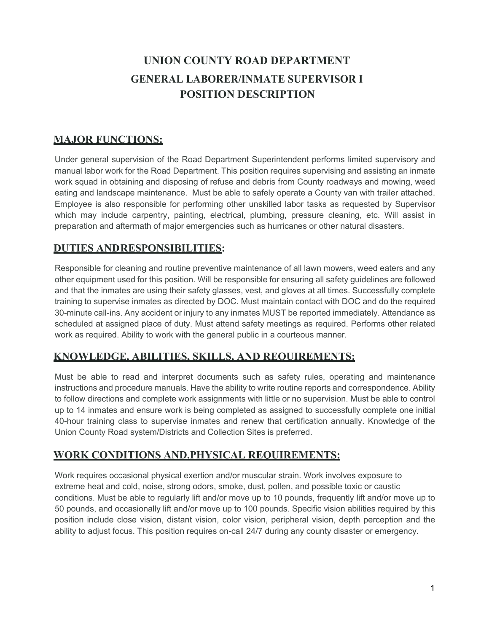# **UNION COUNTY ROAD DEPARTMENT GENERAL LABORER/INMATE SUPERVISOR I POSITION DESCRIPTION**

## **MAJOR FUNCTIONS:**

Under general supervision of the Road Department Superintendent performs limited supervisory and manual labor work for the Road Department. This position requires supervising and assisting an inmate work squad in obtaining and disposing of refuse and debris from County roadways and mowing, weed eating and landscape maintenance. Must be able to safely operate a County van with trailer attached. Employee is also responsible for performing other unskilled labor tasks as requested by Supervisor which may include carpentry, painting, electrical, plumbing, pressure cleaning, etc. Will assist in preparation and aftermath of major emergencies such as hurricanes or other natural disasters.

## **DUTIES ANDRESPONSIBILITIES:**

Responsible for cleaning and routine preventive maintenance of all lawn mowers, weed eaters and any other equipment used for this position. Will be responsible for ensuring all safety guidelines are followed and that the inmates are using their safety glasses, vest, and gloves at all times. Successfully complete training to supervise inmates as directed by DOC. Must maintain contact with DOC and do the required 30-minute call-ins. Any accident or injury to any inmates MUST be reported immediately. Attendance as scheduled at assigned place of duty. Must attend safety meetings as required. Performs other related work as required. Ability to work with the general public in a courteous manner.

## **KNOWLEDGE, ABILITIES, SKILLS, AND REQUIREMENTS:**

Must be able to read and interpret documents such as safety rules, operating and maintenance instructions and procedure manuals. Have the ability to write routine reports and correspondence. Ability to follow directions and complete work assignments with little or no supervision. Must be able to control up to 14 inmates and ensure work is being completed as assigned to successfully complete one initial 40-hour training class to supervise inmates and renew that certification annually. Knowledge of the Union County Road system/Districts and Collection Sites is preferred.

## **WORK CONDITIONS AND.PHYSICAL REQUIREMENTS:**

Work requires occasional physical exertion and/or muscular strain. Work involves exposure to extreme heat and cold, noise, strong odors, smoke, dust, pollen, and possible toxic or caustic conditions. Must be able to regularly lift and/or move up to 10 pounds, frequently lift and/or move up to 50 pounds, and occasionally lift and/or move up to 100 pounds. Specific vision abilities required by this position include close vision, distant vision, color vision, peripheral vision, depth perception and the ability to adjust focus. This position requires on-call 24/7 during any county disaster or emergency.